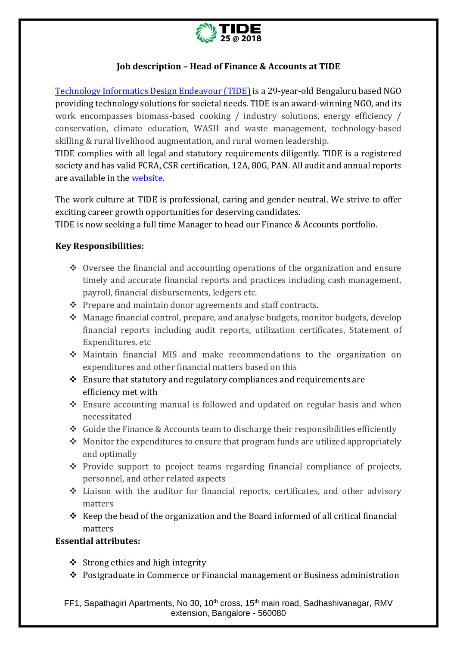

# **Job description – Head of Finance & Accounts at TIDE**

[Technology Informatics Design Endeavour \(TIDE\)](https://tide-india.org/) is a 29-year-old Bengaluru based NGO providing technology solutions for societal needs. TIDE is an award-winning NGO, and its work encompasses biomass-based cooking / industry solutions, energy efficiency / conservation, climate education, WASH and waste management, technology-based skilling & rural livelihood augmentation, and rural women leadership.

TIDE complies with all legal and statutory requirements diligently. TIDE is a registered society and has valid FCRA, CSR certification, 12A, 80G, PAN. All audit and annual reports are available in th[e website.](https://tide-india.org/audit-reports/) 

The work culture at TIDE is professional, caring and gender neutral. We strive to offer exciting career growth opportunities for deserving candidates.

TIDE is now seeking a full time Manager to head our Finance & Accounts portfolio.

## **Key Responsibilities:**

- ❖ Oversee the financial and accounting operations of the organization and ensure timely and accurate financial reports and practices including cash management, payroll, financial disbursements, ledgers etc.
- ❖ Prepare and maintain donor agreements and staff contracts.
- ❖ Manage financial control, prepare, and analyse budgets, monitor budgets, develop financial reports including audit reports, utilization certificates, Statement of Expenditures, etc
- ❖ Maintain financial MIS and make recommendations to the organization on expenditures and other financial matters based on this
- ❖ Ensure that statutory and regulatory compliances and requirements are efficiency met with
- ❖ Ensure accounting manual is followed and updated on regular basis and when necessitated
- ❖ Guide the Finance & Accounts team to discharge their responsibilities efficiently
- ❖ Monitor the expenditures to ensure that program funds are utilized appropriately and optimally
- $\div$  Provide support to project teams regarding financial compliance of projects, personnel, and other related aspects
- ❖ Liaison with the auditor for financial reports, certificates, and other advisory matters
- ❖ Keep the head of the organization and the Board informed of all critical financial matters

#### **Essential attributes:**

- ❖ Strong ethics and high integrity
- ❖ Postgraduate in Commerce or Financial management or Business administration

FF1, Sapathagiri Apartments, No 30, 10<sup>th</sup> cross, 15<sup>th</sup> main road, Sadhashivanagar, RMV extension, Bangalore - 560080